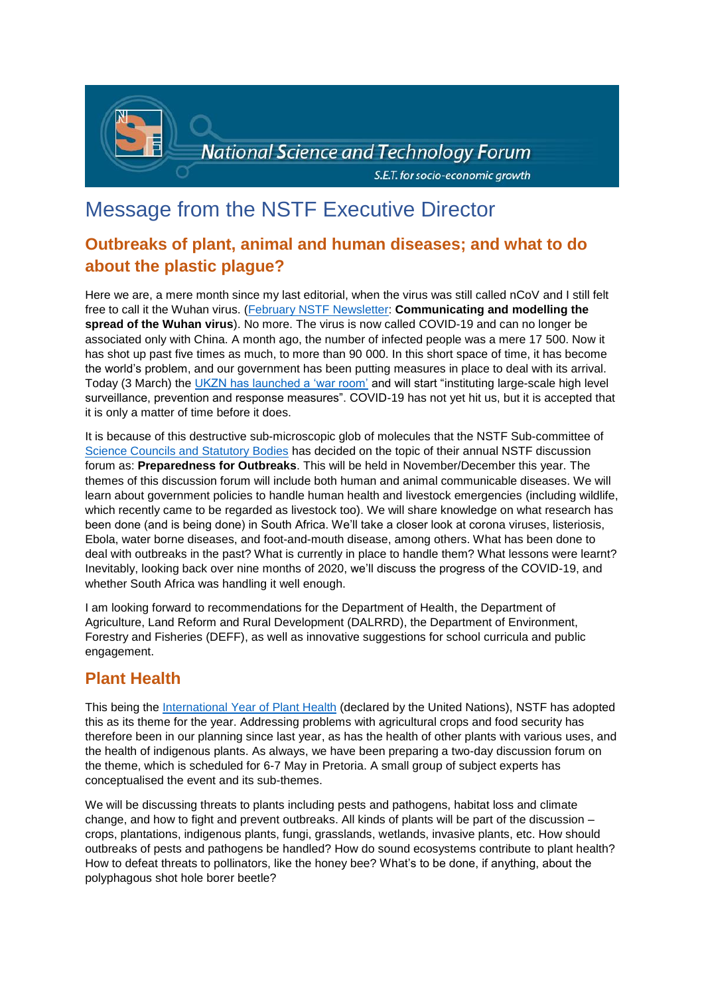

# Message from the NSTF Executive Director

## **Outbreaks of plant, animal and human diseases; and what to do about the plastic plague?**

Here we are, a mere month since my last editorial, when the virus was still called nCoV and I still felt free to call it the Wuhan virus. [\(February NSTF Newsletter:](http://www.nstf.org.za/wp-content/uploads/2020/02/eNewsFebruary.pdf) **Communicating and modelling the spread of the Wuhan virus**). No more. The virus is now called COVID-19 and can no longer be associated only with China. A month ago, the number of infected people was a mere 17 500. Now it has shot up past five times as much, to more than 90 000. In this short space of time, it has become the world's problem, and our government has been putting measures in place to deal with its arrival. Today (3 March) the [UKZN has launched a 'war room'](https://www.msn.com/en-za/health/healthnews/ukzn-launches-first-of-its-kind-in-africa-war-room-to-tackle-coronavirus/ar-BB10FLeq?ocid=spartanntp) and will start "instituting large-scale high level surveillance, prevention and response measures". COVID-19 has not yet hit us, but it is accepted that it is only a matter of time before it does.

It is because of this destructive sub-microscopic glob of molecules that the NSTF Sub-committee of [Science Councils and Statutory Bodies](http://www.nstf.org.za/memberships/current-members/#1443524819820-4bcae9f7-dc70) has decided on the topic of their annual NSTF discussion forum as: **Preparedness for Outbreaks**. This will be held in November/December this year. The themes of this discussion forum will include both human and animal communicable diseases. We will learn about government policies to handle human health and livestock emergencies (including wildlife, which recently came to be regarded as livestock too). We will share knowledge on what research has been done (and is being done) in South Africa. We'll take a closer look at corona viruses, listeriosis, Ebola, water borne diseases, and foot-and-mouth disease, among others. What has been done to deal with outbreaks in the past? What is currently in place to handle them? What lessons were learnt? Inevitably, looking back over nine months of 2020, we'll discuss the progress of the COVID-19, and whether South Africa was handling it well enough.

I am looking forward to recommendations for the Department of Health, the Department of Agriculture, Land Reform and Rural Development (DALRRD), the Department of Environment, Forestry and Fisheries (DEFF), as well as innovative suggestions for school curricula and public engagement.

### **Plant Health**

This being the [International Year of Plant Health](http://www.fao.org/plant-health-2020/about/en/) (declared by the United Nations), NSTF has adopted this as its theme for the year. Addressing problems with agricultural crops and food security has therefore been in our planning since last year, as has the health of other plants with various uses, and the health of indigenous plants. As always, we have been preparing a two-day discussion forum on the theme, which is scheduled for 6-7 May in Pretoria. A small group of subject experts has conceptualised the event and its sub-themes.

We will be discussing threats to plants including pests and pathogens, habitat loss and climate change, and how to fight and prevent outbreaks. All kinds of plants will be part of the discussion – crops, plantations, indigenous plants, fungi, grasslands, wetlands, invasive plants, etc. How should outbreaks of pests and pathogens be handled? How do sound ecosystems contribute to plant health? How to defeat threats to pollinators, like the honey bee? What's to be done, if anything, about the polyphagous shot hole borer beetle?